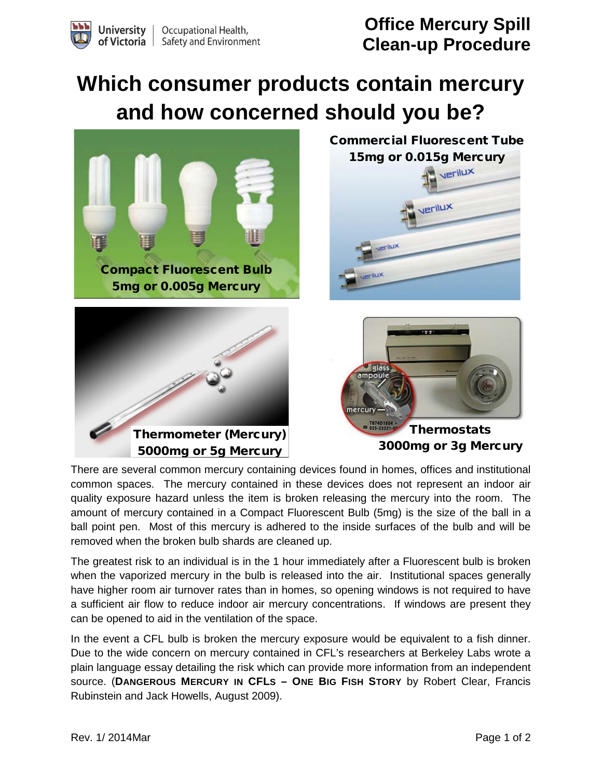**Office Mercury Spill Clean-up Procedure**

## **Which consumer products contain mercury and how concerned should you be?**



There are several common mercury containing devices found in homes, offices and institutional common spaces. The mercury contained in these devices does not represent an indoor air quality exposure hazard unless the item is broken releasing the mercury into the room. The amount of mercury contained in a Compact Fluorescent Bulb (5mg) is the size of the ball in a ball point pen. Most of this mercury is adhered to the inside surfaces of the bulb and will be removed when the broken bulb shards are cleaned up.

The greatest risk to an individual is in the 1 hour immediately after a Fluorescent bulb is broken when the vaporized mercury in the bulb is released into the air. Institutional spaces generally have higher room air turnover rates than in homes, so opening windows is not required to have a sufficient air flow to reduce indoor air mercury concentrations. If windows are present they can be opened to aid in the ventilation of the space.

In the event a CFL bulb is broken the mercury exposure would be equivalent to a fish dinner. Due to the wide concern on mercury contained in CFL's researchers at Berkeley Labs wrote a plain language essay detailing the risk which can provide more information from an independent source. (**DANGEROUS MERCURY IN CFLS – ONE BIG FISH STORY** by Robert Clear, Francis Rubinstein and Jack Howells, August 2009).